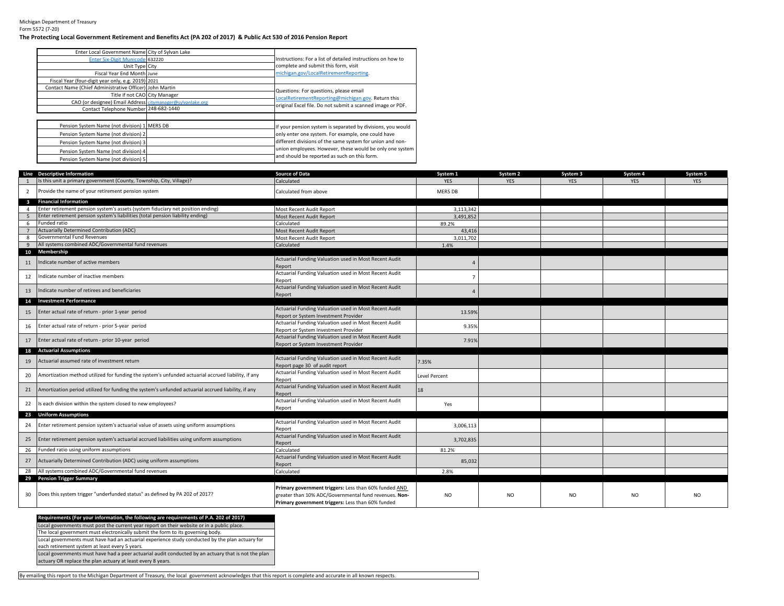Michigan Department of Treasury Form 5572 (7-20)

## **The Protecting Local Government Retirement and Benefits Act (PA 202 of 2017) & Public Act 530 of 2016 Pension Report**

| Enter Local Government Name City of Sylvan Lake            |                                                             |
|------------------------------------------------------------|-------------------------------------------------------------|
| Enter Six-Digit Municode 632220                            | Instructions: For a list of detailed instructions on how to |
| Unit Type City                                             | complete and submit this form, visit                        |
| Fiscal Year End Month June                                 | michigan.gov/LocalRetirementReporting.                      |
| Fiscal Year (four-digit year only, e.g. 2019) 2021         |                                                             |
| Contact Name (Chief Administrative Officer) John Martin    | Questions: For questions, please email                      |
| Title if not CAO City Manager                              | LocalRetirementReporting@michigan.gov. Return this          |
| CAO (or designee) Email Address citymanager@sylvanlake.org |                                                             |
| Contact Telephone Number 248-682-1440                      | original Excel file. Do not submit a scanned image or PDF.  |
|                                                            |                                                             |
| Pension System Name (not division) 1 MERS DB               | If your pension system is separated by divisions, you would |
| Pension System Name (not division) 2                       | only enter one system. For example, one could have          |
| Pension System Name (not division) 3                       | different divisions of the same system for union and non-   |
| Pension System Name (not division) 4                       | union employees. However, these would be only one system    |
| Pension System Name (not division) 5                       | and should be reported as such on this form.                |

|                         | Line Descriptive Information                                                                       | <b>Source of Data</b>                                                                   | System 1             | System 2   | System 3       | System 4   | System 5   |
|-------------------------|----------------------------------------------------------------------------------------------------|-----------------------------------------------------------------------------------------|----------------------|------------|----------------|------------|------------|
|                         | Is this unit a primary government (County, Township, City, Village)?                               | Calculated                                                                              | <b>YES</b>           | <b>YES</b> | <b>YES</b>     | <b>YES</b> | <b>YES</b> |
| $\overline{2}$          | Provide the name of your retirement pension system                                                 | Calculated from above                                                                   | <b>MERS DB</b>       |            |                |            |            |
| $\overline{\mathbf{3}}$ | <b>Financial Information</b>                                                                       |                                                                                         |                      |            |                |            |            |
| $\overline{4}$          | Enter retirement pension system's assets (system fiduciary net position ending)                    | Most Recent Audit Report                                                                | 3,113,342            |            |                |            |            |
| -5                      | Enter retirement pension system's liabilities (total pension liability ending)                     | Most Recent Audit Report                                                                | 3,491,852            |            |                |            |            |
| 6                       | Funded ratio                                                                                       | Calculated                                                                              | 89.2%                |            |                |            |            |
|                         | <b>Actuarially Determined Contribution (ADC)</b>                                                   | Most Recent Audit Report                                                                | 43,416               |            |                |            |            |
| 8                       | Governmental Fund Revenues                                                                         | Most Recent Audit Report                                                                | 3,011,702            |            |                |            |            |
| 9                       | All systems combined ADC/Governmental fund revenues                                                | Calculated                                                                              | 1.4%                 |            |                |            |            |
| 10                      | Membership                                                                                         |                                                                                         |                      |            |                |            |            |
| 11                      | Indicate number of active members                                                                  | Actuarial Funding Valuation used in Most Recent Audit<br>Report                         |                      |            |                |            |            |
| 12                      | Indicate number of inactive members                                                                | Actuarial Funding Valuation used in Most Recent Audit<br>Report                         |                      |            |                |            |            |
| 13                      | Indicate number of retirees and beneficiaries                                                      | Actuarial Funding Valuation used in Most Recent Audit<br>Report                         |                      |            |                |            |            |
| 14                      | <b>Investment Performance</b>                                                                      |                                                                                         |                      |            |                |            |            |
|                         | Enter actual rate of return - prior 1-year period                                                  | Actuarial Funding Valuation used in Most Recent Audit                                   |                      |            |                |            |            |
| 15                      |                                                                                                    | Report or System Investment Provider                                                    | 13.59%               |            |                |            |            |
| 16                      | Enter actual rate of return - prior 5-year period                                                  | Actuarial Funding Valuation used in Most Recent Audit                                   | 9.35%                |            |                |            |            |
|                         |                                                                                                    | Report or System Investment Provider                                                    |                      |            |                |            |            |
| 17                      | Enter actual rate of return - prior 10-year period                                                 | Actuarial Funding Valuation used in Most Recent Audit                                   | 7.91%                |            |                |            |            |
|                         |                                                                                                    | Report or System Investment Provider                                                    |                      |            |                |            |            |
|                         | 18 Actuarial Assumptions                                                                           |                                                                                         |                      |            |                |            |            |
| 19                      | Actuarial assumed rate of investment return                                                        | Actuarial Funding Valuation used in Most Recent Audit                                   | 7.35%                |            |                |            |            |
|                         |                                                                                                    | Report page 30 of audit report<br>Actuarial Funding Valuation used in Most Recent Audit |                      |            |                |            |            |
| 20                      | Amortization method utilized for funding the system's unfunded actuarial accrued liability, if any | Report                                                                                  | <b>Level Percent</b> |            |                |            |            |
| 21                      | Amortization period utilized for funding the system's unfunded actuarial accrued liability, if any | Actuarial Funding Valuation used in Most Recent Audit<br>Report                         | 18                   |            |                |            |            |
|                         |                                                                                                    | Actuarial Funding Valuation used in Most Recent Audit                                   |                      |            |                |            |            |
| 22                      | Is each division within the system closed to new employees?                                        | Report                                                                                  | Yes                  |            |                |            |            |
|                         | 23 Uniform Assumptions                                                                             |                                                                                         |                      |            |                |            |            |
|                         |                                                                                                    | Actuarial Funding Valuation used in Most Recent Audit                                   |                      |            |                |            |            |
| 24                      | Enter retirement pension system's actuarial value of assets using uniform assumptions              | Report                                                                                  | 3,006,113            |            |                |            |            |
|                         |                                                                                                    | Actuarial Funding Valuation used in Most Recent Audit                                   |                      |            |                |            |            |
| 25                      | Enter retirement pension system's actuarial accrued liabilities using uniform assumptions          | Report                                                                                  | 3,702,835            |            |                |            |            |
| 26                      | Funded ratio using uniform assumptions                                                             | Calculated                                                                              | 81.2%                |            |                |            |            |
| 27                      | Actuarially Determined Contribution (ADC) using uniform assumptions                                | Actuarial Funding Valuation used in Most Recent Audit                                   | 85,032               |            |                |            |            |
|                         |                                                                                                    | Report                                                                                  |                      |            |                |            |            |
| 28                      | All systems combined ADC/Governmental fund revenues                                                | Calculated                                                                              | 2.8%                 |            |                |            |            |
| 29                      | <b>Pension Trigger Summary</b>                                                                     |                                                                                         |                      |            |                |            |            |
|                         |                                                                                                    | Primary government triggers: Less than 60% funded AND                                   |                      |            |                |            |            |
| 30                      | Does this system trigger "underfunded status" as defined by PA 202 of 2017?                        | greater than 10% ADC/Governmental fund revenues. Non-                                   | NO.                  | NO.        | N <sub>O</sub> | NO         | NO.        |
|                         |                                                                                                    | Primary government triggers: Less than 60% funded                                       |                      |            |                |            |            |

## Local governments must post the current year report on their website or in a public place. The local government must electronically submit the form to its governing body. **Requirements (For your information, the following are requirements of P.A. 202 of 2017)**

Local governments must have had an actuarial experience study conducted by the plan actuary for

each retirement system at least every 5 years.

Local governments must have had a peer actuarial audit conducted by an actuary that is not the plan

actuary OR replace the plan actuary at least every 8 years.

By emailing this report to the Michigan Department of Treasury, the local government acknowledges that this report is complete and accurate in all known respects.